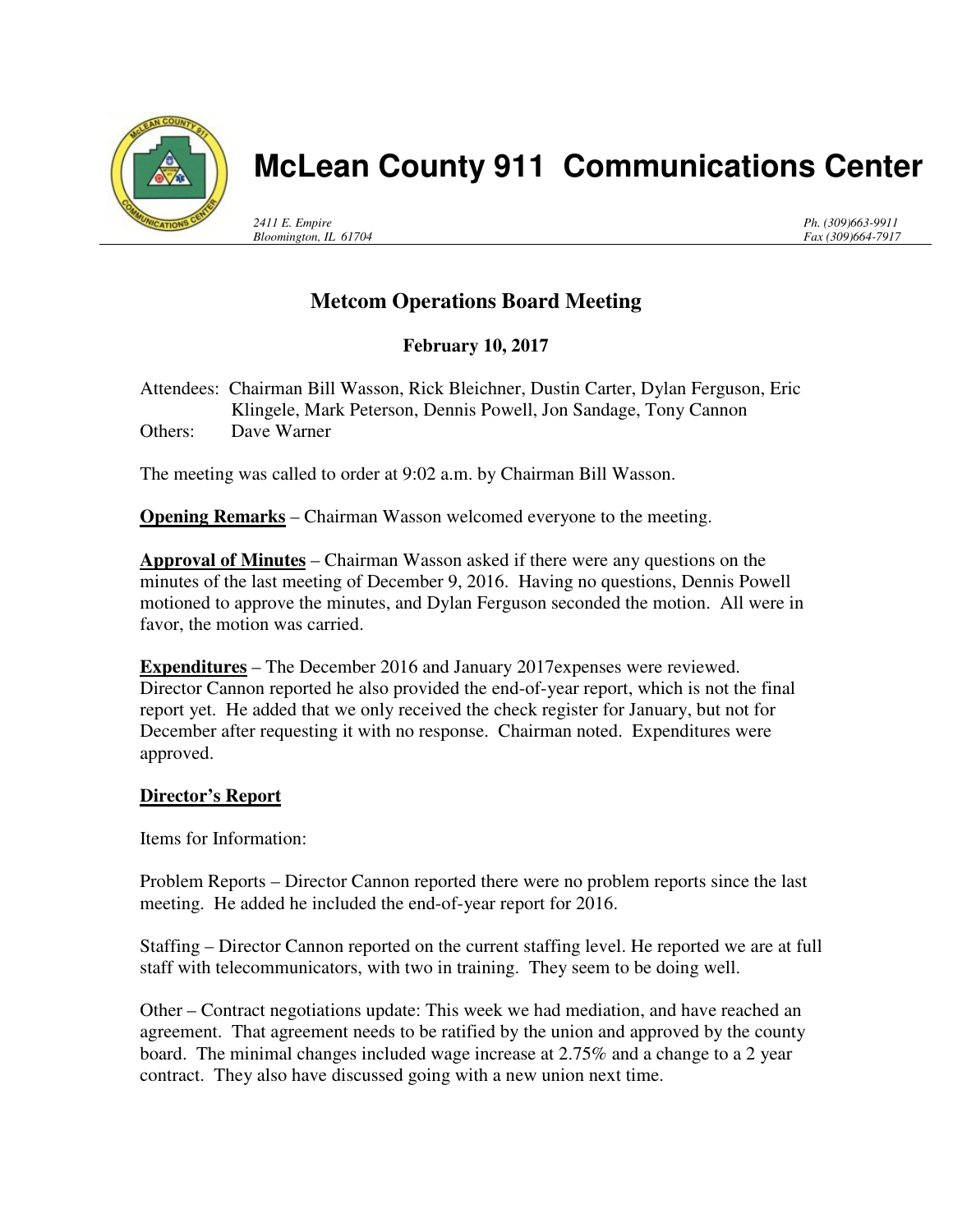

## **McLean County 911 Communications Center**

*2411 E. Empire Bloomington, IL 61704* *Ph. (309)663-9911 Fax (309)664-7917*

## **Metcom Operations Board Meeting**

**February 10, 2017** 

Attendees: Chairman Bill Wasson, Rick Bleichner, Dustin Carter, Dylan Ferguson, Eric Klingele, Mark Peterson, Dennis Powell, Jon Sandage, Tony Cannon Others: Dave Warner

The meeting was called to order at 9:02 a.m. by Chairman Bill Wasson.

**Opening Remarks** – Chairman Wasson welcomed everyone to the meeting.

**Approval of Minutes** – Chairman Wasson asked if there were any questions on the minutes of the last meeting of December 9, 2016. Having no questions, Dennis Powell motioned to approve the minutes, and Dylan Ferguson seconded the motion. All were in favor, the motion was carried.

**Expenditures** – The December 2016 and January 2017expenses were reviewed. Director Cannon reported he also provided the end-of-year report, which is not the final report yet. He added that we only received the check register for January, but not for December after requesting it with no response. Chairman noted. Expenditures were approved.

## **Director's Report**

Items for Information:

Problem Reports – Director Cannon reported there were no problem reports since the last meeting. He added he included the end-of-year report for 2016.

Staffing – Director Cannon reported on the current staffing level. He reported we are at full staff with telecommunicators, with two in training. They seem to be doing well.

Other – Contract negotiations update: This week we had mediation, and have reached an agreement. That agreement needs to be ratified by the union and approved by the county board. The minimal changes included wage increase at 2.75% and a change to a 2 year contract. They also have discussed going with a new union next time.